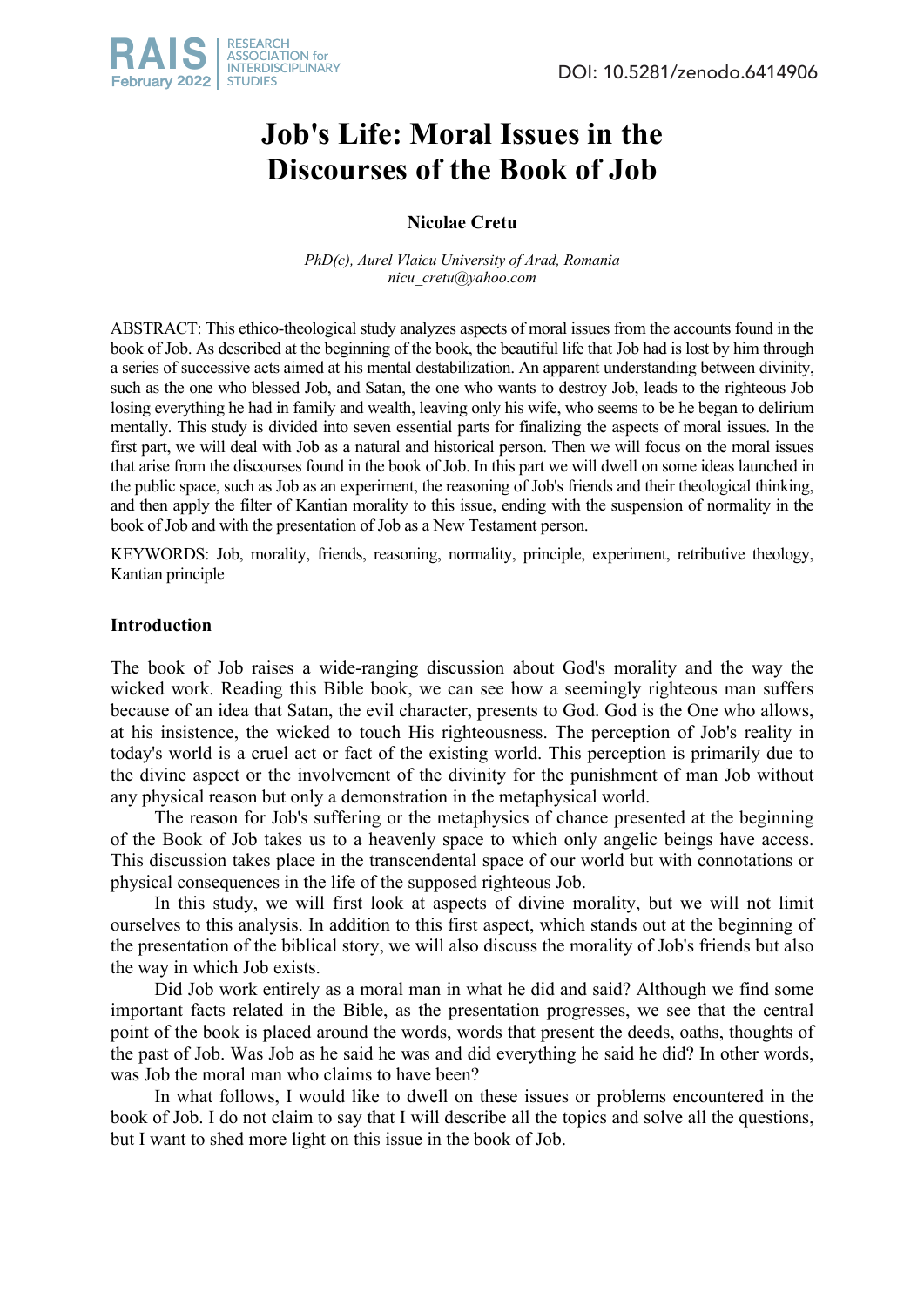# **Job's Life: Moral Issues in the Discourses of the Book of Job**

## **Nicolae Cretu**

*PhD(c), Aurel Vlaicu University of Arad, Romania nicu\_cretu@yahoo.com*

ABSTRACT: This ethico-theological study analyzes aspects of moral issues from the accounts found in the book of Job. As described at the beginning of the book, the beautiful life that Job had is lost by him through a series of successive acts aimed at his mental destabilization. An apparent understanding between divinity, such as the one who blessed Job, and Satan, the one who wants to destroy Job, leads to the righteous Job losing everything he had in family and wealth, leaving only his wife, who seems to be he began to delirium mentally. This study is divided into seven essential parts for finalizing the aspects of moral issues. In the first part, we will deal with Job as a natural and historical person. Then we will focus on the moral issues that arise from the discourses found in the book of Job. In this part we will dwell on some ideas launched in the public space, such as Job as an experiment, the reasoning of Job's friends and their theological thinking, and then apply the filter of Kantian morality to this issue, ending with the suspension of normality in the book of Job and with the presentation of Job as a New Testament person.

KEYWORDS: Job, morality, friends, reasoning, normality, principle, experiment, retributive theology, Kantian principle

## **Introduction**

The book of Job raises a wide-ranging discussion about God's morality and the way the wicked work. Reading this Bible book, we can see how a seemingly righteous man suffers because of an idea that Satan, the evil character, presents to God. God is the One who allows, at his insistence, the wicked to touch His righteousness. The perception of Job's reality in today's world is a cruel act or fact of the existing world. This perception is primarily due to the divine aspect or the involvement of the divinity for the punishment of man Job without any physical reason but only a demonstration in the metaphysical world.

The reason for Job's suffering or the metaphysics of chance presented at the beginning of the Book of Job takes us to a heavenly space to which only angelic beings have access. This discussion takes place in the transcendental space of our world but with connotations or physical consequences in the life of the supposed righteous Job.

In this study, we will first look at aspects of divine morality, but we will not limit ourselves to this analysis. In addition to this first aspect, which stands out at the beginning of the presentation of the biblical story, we will also discuss the morality of Job's friends but also the way in which Job exists.

Did Job work entirely as a moral man in what he did and said? Although we find some important facts related in the Bible, as the presentation progresses, we see that the central point of the book is placed around the words, words that present the deeds, oaths, thoughts of the past of Job. Was Job as he said he was and did everything he said he did? In other words, was Job the moral man who claims to have been?

In what follows, I would like to dwell on these issues or problems encountered in the book of Job. I do not claim to say that I will describe all the topics and solve all the questions, but I want to shed more light on this issue in the book of Job.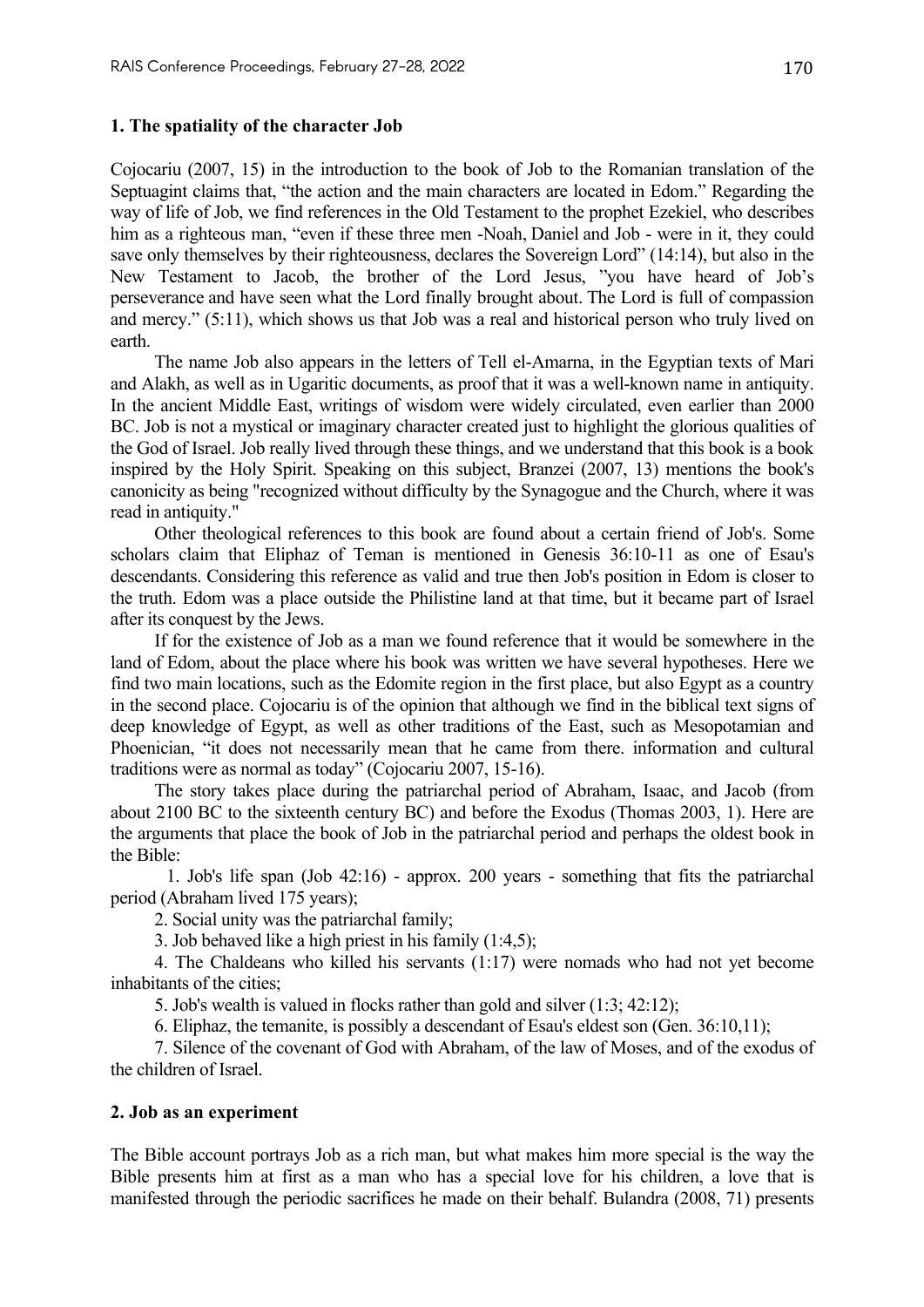## **1. The spatiality of the character Job**

Cojocariu (2007, 15) in the introduction to the book of Job to the Romanian translation of the Septuagint claims that, "the action and the main characters are located in Edom." Regarding the way of life of Job, we find references in the Old Testament to the prophet Ezekiel, who describes him as a righteous man, "even if these three men -Noah, Daniel and Job - were in it, they could save only themselves by their righteousness, declares the Sovereign Lord" (14:14), but also in the New Testament to Jacob, the brother of the Lord Jesus, "you have heard of Job's perseverance and have seen what the Lord finally brought about. The Lord is full of compassion and mercy." (5:11), which shows us that Job was a real and historical person who truly lived on earth.

The name Job also appears in the letters of Tell el-Amarna, in the Egyptian texts of Mari and Alakh, as well as in Ugaritic documents, as proof that it was a well-known name in antiquity. In the ancient Middle East, writings of wisdom were widely circulated, even earlier than 2000 BC. Job is not a mystical or imaginary character created just to highlight the glorious qualities of the God of Israel. Job really lived through these things, and we understand that this book is a book inspired by the Holy Spirit. Speaking on this subject, Branzei (2007, 13) mentions the book's canonicity as being "recognized without difficulty by the Synagogue and the Church, where it was read in antiquity."

Other theological references to this book are found about a certain friend of Job's. Some scholars claim that Eliphaz of Teman is mentioned in Genesis 36:10-11 as one of Esau's descendants. Considering this reference as valid and true then Job's position in Edom is closer to the truth. Edom was a place outside the Philistine land at that time, but it became part of Israel after its conquest by the Jews.

If for the existence of Job as a man we found reference that it would be somewhere in the land of Edom, about the place where his book was written we have several hypotheses. Here we find two main locations, such as the Edomite region in the first place, but also Egypt as a country in the second place. Cojocariu is of the opinion that although we find in the biblical text signs of deep knowledge of Egypt, as well as other traditions of the East, such as Mesopotamian and Phoenician, "it does not necessarily mean that he came from there. information and cultural traditions were as normal as today" (Cojocariu 2007, 15-16).

The story takes place during the patriarchal period of Abraham, Isaac, and Jacob (from about 2100 BC to the sixteenth century BC) and before the Exodus (Thomas 2003, 1). Here are the arguments that place the book of Job in the patriarchal period and perhaps the oldest book in the Bible:

1. Job's life span (Job 42:16) - approx. 200 years - something that fits the patriarchal period (Abraham lived 175 years);

2. Social unity was the patriarchal family;

3. Job behaved like a high priest in his family (1:4,5);

4. The Chaldeans who killed his servants (1:17) were nomads who had not yet become inhabitants of the cities;

5. Job's wealth is valued in flocks rather than gold and silver (1:3; 42:12);

6. Eliphaz, the temanite, is possibly a descendant of Esau's eldest son (Gen. 36:10,11);

7. Silence of the covenant of God with Abraham, of the law of Moses, and of the exodus of the children of Israel.

## **2. Job as an experiment**

The Bible account portrays Job as a rich man, but what makes him more special is the way the Bible presents him at first as a man who has a special love for his children, a love that is manifested through the periodic sacrifices he made on their behalf. Bulandra (2008, 71) presents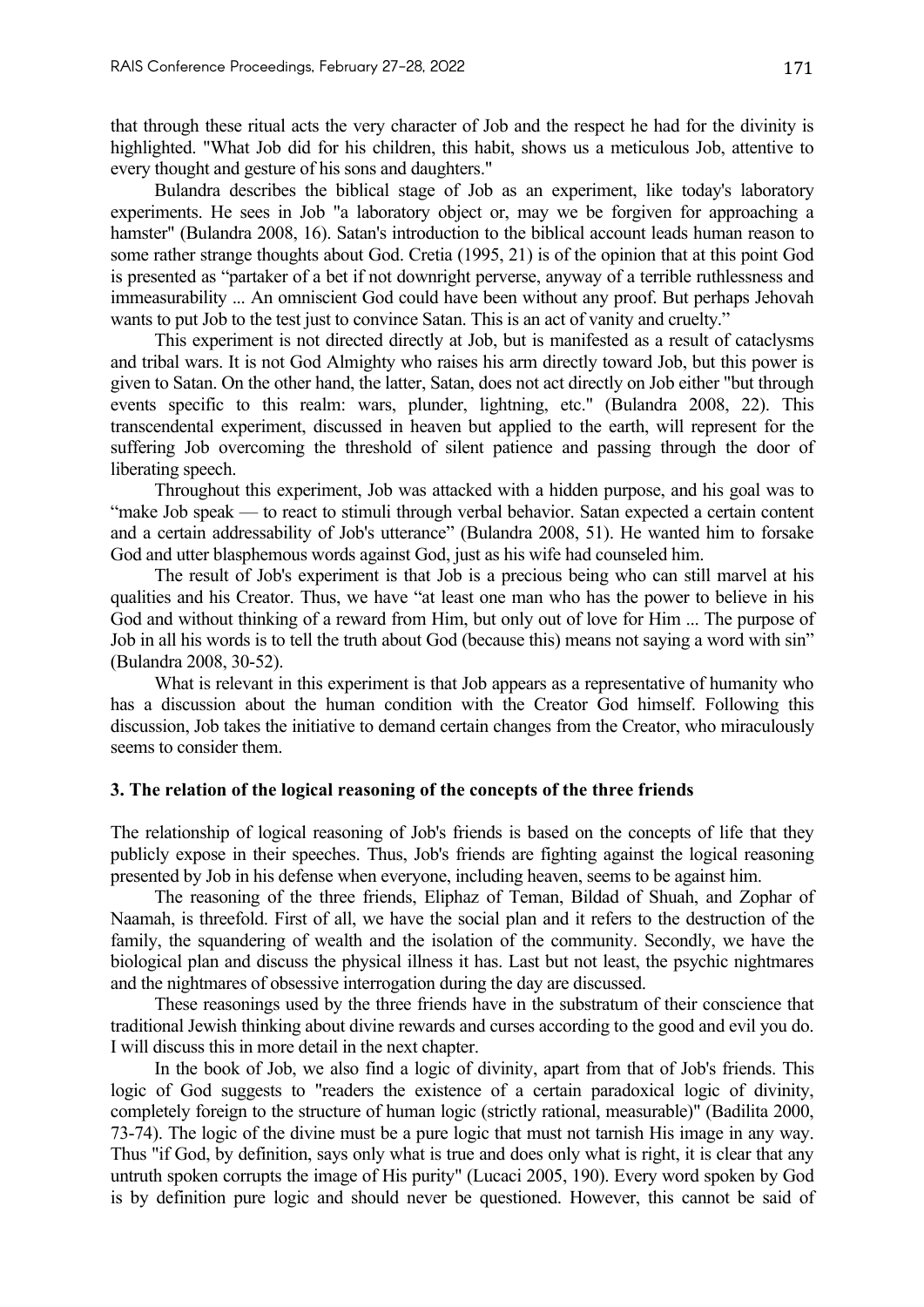that through these ritual acts the very character of Job and the respect he had for the divinity is highlighted. "What Job did for his children, this habit, shows us a meticulous Job, attentive to every thought and gesture of his sons and daughters."

Bulandra describes the biblical stage of Job as an experiment, like today's laboratory experiments. He sees in Job "a laboratory object or, may we be forgiven for approaching a hamster" (Bulandra 2008, 16). Satan's introduction to the biblical account leads human reason to some rather strange thoughts about God. Cretia (1995, 21) is of the opinion that at this point God is presented as "partaker of a bet if not downright perverse, anyway of a terrible ruthlessness and immeasurability ... An omniscient God could have been without any proof. But perhaps Jehovah wants to put Job to the test just to convince Satan. This is an act of vanity and cruelty."

This experiment is not directed directly at Job, but is manifested as a result of cataclysms and tribal wars. It is not God Almighty who raises his arm directly toward Job, but this power is given to Satan. On the other hand, the latter, Satan, does not act directly on Job either "but through events specific to this realm: wars, plunder, lightning, etc." (Bulandra 2008, 22). This transcendental experiment, discussed in heaven but applied to the earth, will represent for the suffering Job overcoming the threshold of silent patience and passing through the door of liberating speech.

Throughout this experiment, Job was attacked with a hidden purpose, and his goal was to "make Job speak — to react to stimuli through verbal behavior. Satan expected a certain content and a certain addressability of Job's utterance" (Bulandra 2008, 51). He wanted him to forsake God and utter blasphemous words against God, just as his wife had counseled him.

The result of Job's experiment is that Job is a precious being who can still marvel at his qualities and his Creator. Thus, we have "at least one man who has the power to believe in his God and without thinking of a reward from Him, but only out of love for Him ... The purpose of Job in all his words is to tell the truth about God (because this) means not saying a word with sin" (Bulandra 2008, 30-52).

What is relevant in this experiment is that Job appears as a representative of humanity who has a discussion about the human condition with the Creator God himself. Following this discussion, Job takes the initiative to demand certain changes from the Creator, who miraculously seems to consider them.

## **3. The relation of the logical reasoning of the concepts of the three friends**

The relationship of logical reasoning of Job's friends is based on the concepts of life that they publicly expose in their speeches. Thus, Job's friends are fighting against the logical reasoning presented by Job in his defense when everyone, including heaven, seems to be against him.

The reasoning of the three friends, Eliphaz of Teman, Bildad of Shuah, and Zophar of Naamah, is threefold. First of all, we have the social plan and it refers to the destruction of the family, the squandering of wealth and the isolation of the community. Secondly, we have the biological plan and discuss the physical illness it has. Last but not least, the psychic nightmares and the nightmares of obsessive interrogation during the day are discussed.

These reasonings used by the three friends have in the substratum of their conscience that traditional Jewish thinking about divine rewards and curses according to the good and evil you do. I will discuss this in more detail in the next chapter.

In the book of Job, we also find a logic of divinity, apart from that of Job's friends. This logic of God suggests to "readers the existence of a certain paradoxical logic of divinity, completely foreign to the structure of human logic (strictly rational, measurable)" (Badilita 2000, 73-74). The logic of the divine must be a pure logic that must not tarnish His image in any way. Thus "if God, by definition, says only what is true and does only what is right, it is clear that any untruth spoken corrupts the image of His purity" (Lucaci 2005, 190). Every word spoken by God is by definition pure logic and should never be questioned. However, this cannot be said of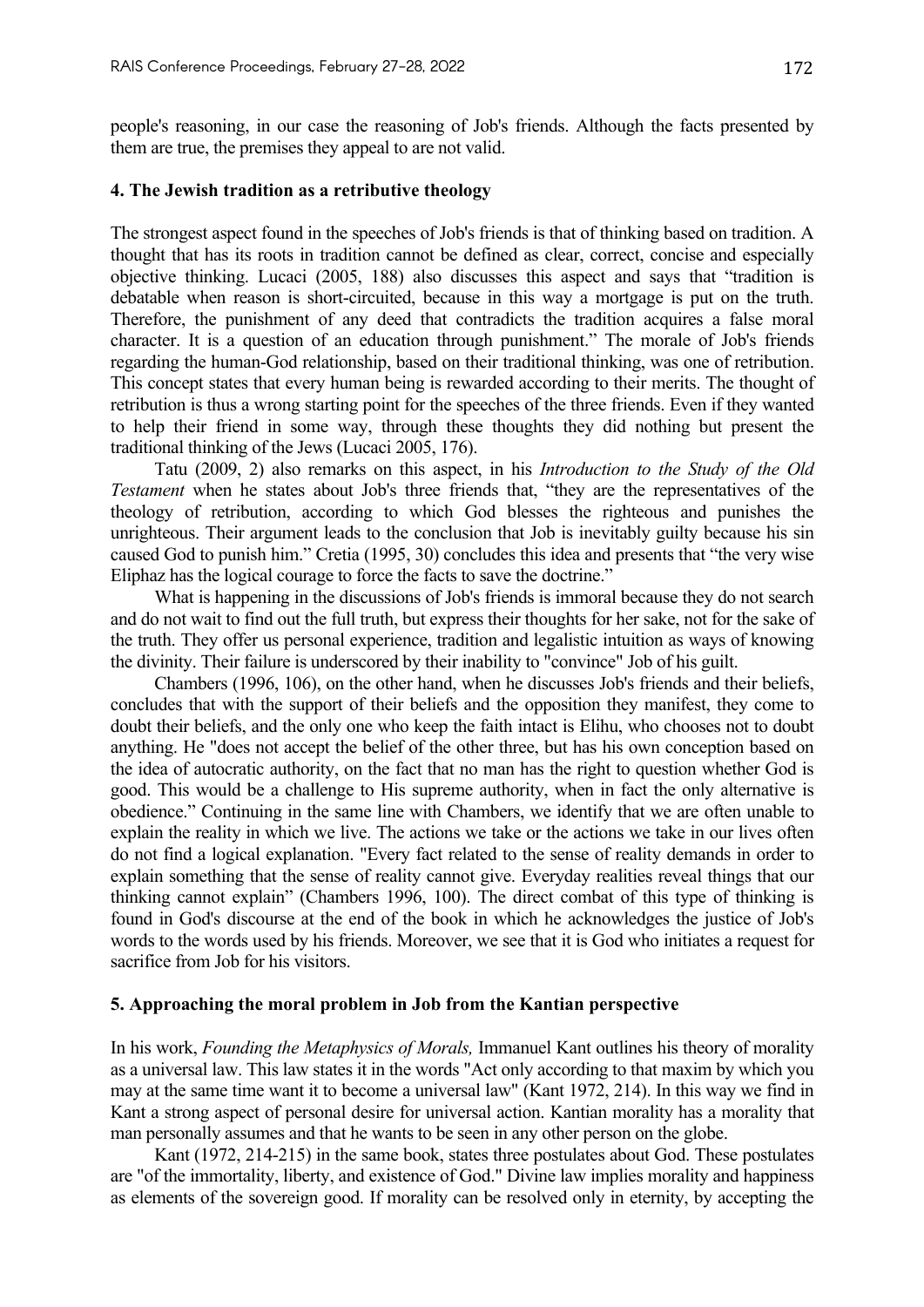people's reasoning, in our case the reasoning of Job's friends. Although the facts presented by them are true, the premises they appeal to are not valid.

#### **4. The Jewish tradition as a retributive theology**

The strongest aspect found in the speeches of Job's friends is that of thinking based on tradition. A thought that has its roots in tradition cannot be defined as clear, correct, concise and especially objective thinking. Lucaci (2005, 188) also discusses this aspect and says that "tradition is debatable when reason is short-circuited, because in this way a mortgage is put on the truth. Therefore, the punishment of any deed that contradicts the tradition acquires a false moral character. It is a question of an education through punishment." The morale of Job's friends regarding the human-God relationship, based on their traditional thinking, was one of retribution. This concept states that every human being is rewarded according to their merits. The thought of retribution is thus a wrong starting point for the speeches of the three friends. Even if they wanted to help their friend in some way, through these thoughts they did nothing but present the traditional thinking of the Jews (Lucaci 2005, 176).

Tatu (2009, 2) also remarks on this aspect, in his *Introduction to the Study of the Old Testament* when he states about Job's three friends that, "they are the representatives of the theology of retribution, according to which God blesses the righteous and punishes the unrighteous. Their argument leads to the conclusion that Job is inevitably guilty because his sin caused God to punish him." Cretia (1995, 30) concludes this idea and presents that "the very wise Eliphaz has the logical courage to force the facts to save the doctrine."

What is happening in the discussions of Job's friends is immoral because they do not search and do not wait to find out the full truth, but express their thoughts for her sake, not for the sake of the truth. They offer us personal experience, tradition and legalistic intuition as ways of knowing the divinity. Their failure is underscored by their inability to "convince" Job of his guilt.

Chambers (1996, 106), on the other hand, when he discusses Job's friends and their beliefs, concludes that with the support of their beliefs and the opposition they manifest, they come to doubt their beliefs, and the only one who keep the faith intact is Elihu, who chooses not to doubt anything. He "does not accept the belief of the other three, but has his own conception based on the idea of autocratic authority, on the fact that no man has the right to question whether God is good. This would be a challenge to His supreme authority, when in fact the only alternative is obedience." Continuing in the same line with Chambers, we identify that we are often unable to explain the reality in which we live. The actions we take or the actions we take in our lives often do not find a logical explanation. "Every fact related to the sense of reality demands in order to explain something that the sense of reality cannot give. Everyday realities reveal things that our thinking cannot explain" (Chambers 1996, 100). The direct combat of this type of thinking is found in God's discourse at the end of the book in which he acknowledges the justice of Job's words to the words used by his friends. Moreover, we see that it is God who initiates a request for sacrifice from Job for his visitors.

#### **5. Approaching the moral problem in Job from the Kantian perspective**

In his work, *Founding the Metaphysics of Morals,* Immanuel Kant outlines his theory of morality as a universal law. This law states it in the words "Act only according to that maxim by which you may at the same time want it to become a universal law" (Kant 1972, 214). In this way we find in Kant a strong aspect of personal desire for universal action. Kantian morality has a morality that man personally assumes and that he wants to be seen in any other person on the globe.

Kant (1972, 214-215) in the same book, states three postulates about God. These postulates are "of the immortality, liberty, and existence of God." Divine law implies morality and happiness as elements of the sovereign good. If morality can be resolved only in eternity, by accepting the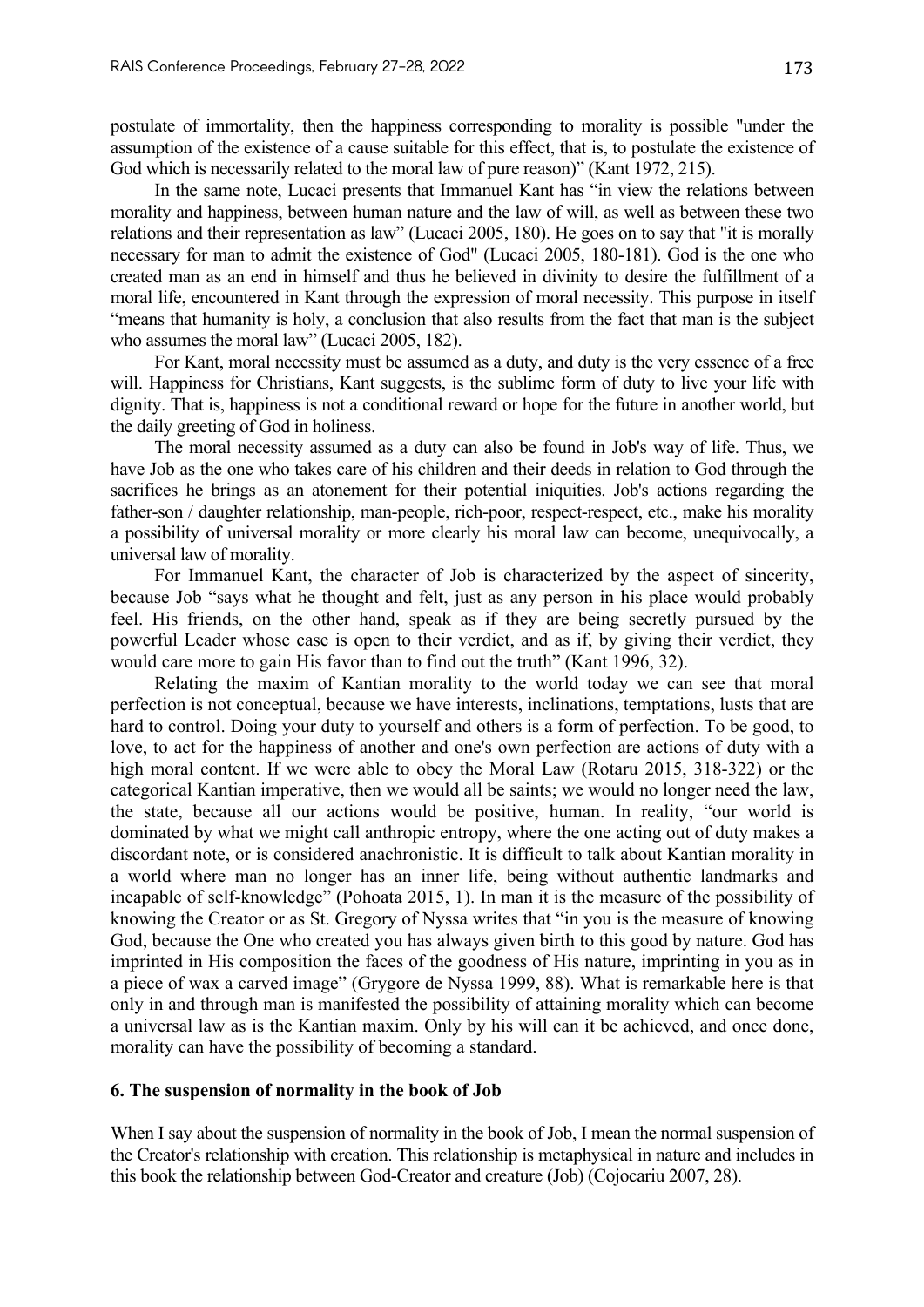postulate of immortality, then the happiness corresponding to morality is possible "under the assumption of the existence of a cause suitable for this effect, that is, to postulate the existence of God which is necessarily related to the moral law of pure reason)" (Kant 1972, 215).

In the same note, Lucaci presents that Immanuel Kant has "in view the relations between morality and happiness, between human nature and the law of will, as well as between these two relations and their representation as law" (Lucaci 2005, 180). He goes on to say that "it is morally necessary for man to admit the existence of God" (Lucaci 2005, 180-181). God is the one who created man as an end in himself and thus he believed in divinity to desire the fulfillment of a moral life, encountered in Kant through the expression of moral necessity. This purpose in itself "means that humanity is holy, a conclusion that also results from the fact that man is the subject who assumes the moral law" (Lucaci 2005, 182).

For Kant, moral necessity must be assumed as a duty, and duty is the very essence of a free will. Happiness for Christians, Kant suggests, is the sublime form of duty to live your life with dignity. That is, happiness is not a conditional reward or hope for the future in another world, but the daily greeting of God in holiness.

The moral necessity assumed as a duty can also be found in Job's way of life. Thus, we have Job as the one who takes care of his children and their deeds in relation to God through the sacrifices he brings as an atonement for their potential iniquities. Job's actions regarding the father-son / daughter relationship, man-people, rich-poor, respect-respect, etc., make his morality a possibility of universal morality or more clearly his moral law can become, unequivocally, a universal law of morality.

For Immanuel Kant, the character of Job is characterized by the aspect of sincerity, because Job "says what he thought and felt, just as any person in his place would probably feel. His friends, on the other hand, speak as if they are being secretly pursued by the powerful Leader whose case is open to their verdict, and as if, by giving their verdict, they would care more to gain His favor than to find out the truth" (Kant 1996, 32).

Relating the maxim of Kantian morality to the world today we can see that moral perfection is not conceptual, because we have interests, inclinations, temptations, lusts that are hard to control. Doing your duty to yourself and others is a form of perfection. To be good, to love, to act for the happiness of another and one's own perfection are actions of duty with a high moral content. If we were able to obey the Moral Law (Rotaru 2015, 318-322) or the categorical Kantian imperative, then we would all be saints; we would no longer need the law, the state, because all our actions would be positive, human. In reality, "our world is dominated by what we might call anthropic entropy, where the one acting out of duty makes a discordant note, or is considered anachronistic. It is difficult to talk about Kantian morality in a world where man no longer has an inner life, being without authentic landmarks and incapable of self-knowledge" (Pohoata 2015, 1). In man it is the measure of the possibility of knowing the Creator or as St. Gregory of Nyssa writes that "in you is the measure of knowing God, because the One who created you has always given birth to this good by nature. God has imprinted in His composition the faces of the goodness of His nature, imprinting in you as in a piece of wax a carved image" (Grygore de Nyssa 1999, 88). What is remarkable here is that only in and through man is manifested the possibility of attaining morality which can become a universal law as is the Kantian maxim. Only by his will can it be achieved, and once done, morality can have the possibility of becoming a standard.

#### **6. The suspension of normality in the book of Job**

When I say about the suspension of normality in the book of Job, I mean the normal suspension of the Creator's relationship with creation. This relationship is metaphysical in nature and includes in this book the relationship between God-Creator and creature (Job) (Cojocariu 2007, 28).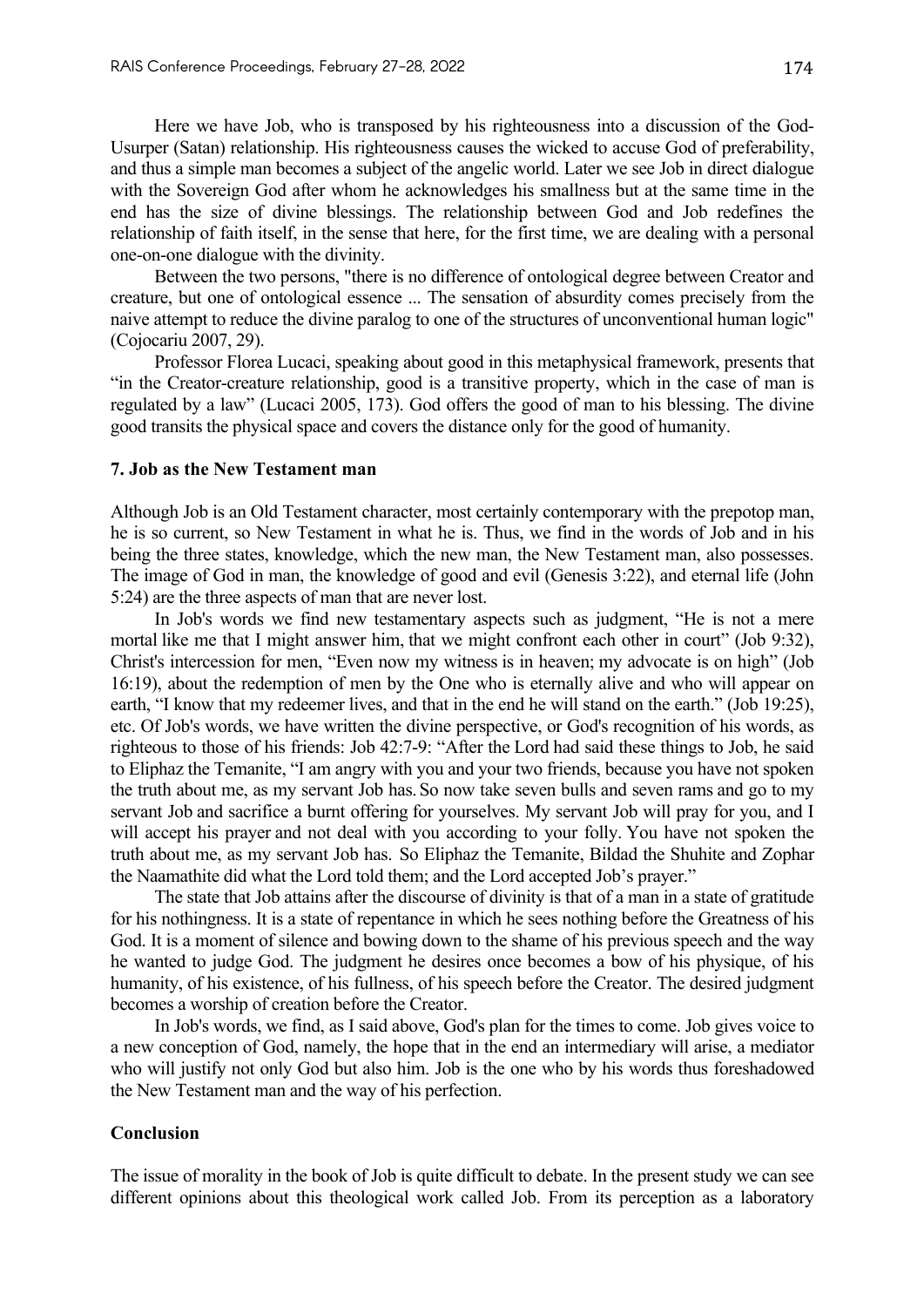Here we have Job, who is transposed by his righteousness into a discussion of the God-Usurper (Satan) relationship. His righteousness causes the wicked to accuse God of preferability, and thus a simple man becomes a subject of the angelic world. Later we see Job in direct dialogue with the Sovereign God after whom he acknowledges his smallness but at the same time in the end has the size of divine blessings. The relationship between God and Job redefines the relationship of faith itself, in the sense that here, for the first time, we are dealing with a personal one-on-one dialogue with the divinity.

Between the two persons, "there is no difference of ontological degree between Creator and creature, but one of ontological essence ... The sensation of absurdity comes precisely from the naive attempt to reduce the divine paralog to one of the structures of unconventional human logic" (Cojocariu 2007, 29).

Professor Florea Lucaci, speaking about good in this metaphysical framework, presents that "in the Creator-creature relationship, good is a transitive property, which in the case of man is regulated by a law" (Lucaci 2005, 173). God offers the good of man to his blessing. The divine good transits the physical space and covers the distance only for the good of humanity.

#### **7. Job as the New Testament man**

Although Job is an Old Testament character, most certainly contemporary with the prepotop man, he is so current, so New Testament in what he is. Thus, we find in the words of Job and in his being the three states, knowledge, which the new man, the New Testament man, also possesses. The image of God in man, the knowledge of good and evil (Genesis 3:22), and eternal life (John 5:24) are the three aspects of man that are never lost.

In Job's words we find new testamentary aspects such as judgment, "He is not a mere mortal like me that I might answer him, that we might confront each other in court" (Job 9:32), Christ's intercession for men, "Even now my witness is in heaven; my advocate is on high" (Job 16:19), about the redemption of men by the One who is eternally alive and who will appear on earth, "I know that my redeemer lives, and that in the end he will stand on the earth." (Job 19:25), etc. Of Job's words, we have written the divine perspective, or God's recognition of his words, as righteous to those of his friends: Job 42:7-9: "After the Lord had said these things to Job, he said to Eliphaz the Temanite, "I am angry with you and your two friends, because you have not spoken the truth about me, as my servant Job has.So now take seven bulls and seven rams and go to my servant Job and sacrifice a burnt offering for yourselves. My servant Job will pray for you, and I will accept his prayer and not deal with you according to your folly. You have not spoken the truth about me, as my servant Job has. So Eliphaz the Temanite, Bildad the Shuhite and Zophar the Naamathite did what the Lord told them; and the Lord accepted Job's prayer."

The state that Job attains after the discourse of divinity is that of a man in a state of gratitude for his nothingness. It is a state of repentance in which he sees nothing before the Greatness of his God. It is a moment of silence and bowing down to the shame of his previous speech and the way he wanted to judge God. The judgment he desires once becomes a bow of his physique, of his humanity, of his existence, of his fullness, of his speech before the Creator. The desired judgment becomes a worship of creation before the Creator.

In Job's words, we find, as I said above, God's plan for the times to come. Job gives voice to a new conception of God, namely, the hope that in the end an intermediary will arise, a mediator who will justify not only God but also him. Job is the one who by his words thus foreshadowed the New Testament man and the way of his perfection.

## **Conclusion**

The issue of morality in the book of Job is quite difficult to debate. In the present study we can see different opinions about this theological work called Job. From its perception as a laboratory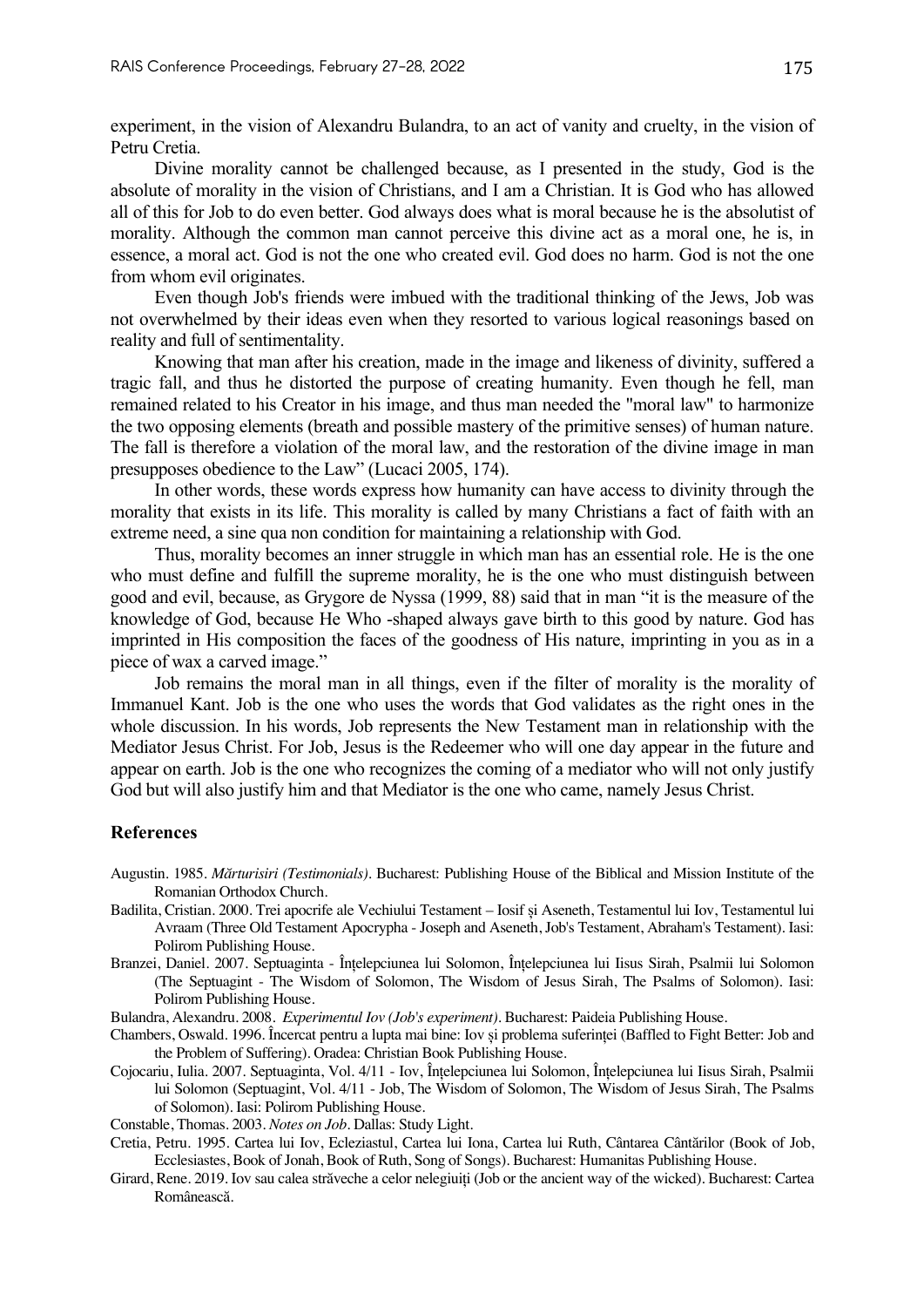experiment, in the vision of Alexandru Bulandra, to an act of vanity and cruelty, in the vision of Petru Cretia.

Divine morality cannot be challenged because, as I presented in the study, God is the absolute of morality in the vision of Christians, and I am a Christian. It is God who has allowed all of this for Job to do even better. God always does what is moral because he is the absolutist of morality. Although the common man cannot perceive this divine act as a moral one, he is, in essence, a moral act. God is not the one who created evil. God does no harm. God is not the one from whom evil originates.

Even though Job's friends were imbued with the traditional thinking of the Jews, Job was not overwhelmed by their ideas even when they resorted to various logical reasonings based on reality and full of sentimentality.

Knowing that man after his creation, made in the image and likeness of divinity, suffered a tragic fall, and thus he distorted the purpose of creating humanity. Even though he fell, man remained related to his Creator in his image, and thus man needed the "moral law" to harmonize the two opposing elements (breath and possible mastery of the primitive senses) of human nature. The fall is therefore a violation of the moral law, and the restoration of the divine image in man presupposes obedience to the Law" (Lucaci 2005, 174).

In other words, these words express how humanity can have access to divinity through the morality that exists in its life. This morality is called by many Christians a fact of faith with an extreme need, a sine qua non condition for maintaining a relationship with God.

Thus, morality becomes an inner struggle in which man has an essential role. He is the one who must define and fulfill the supreme morality, he is the one who must distinguish between good and evil, because, as Grygore de Nyssa (1999, 88) said that in man "it is the measure of the knowledge of God, because He Who -shaped always gave birth to this good by nature. God has imprinted in His composition the faces of the goodness of His nature, imprinting in you as in a piece of wax a carved image."

Job remains the moral man in all things, even if the filter of morality is the morality of Immanuel Kant. Job is the one who uses the words that God validates as the right ones in the whole discussion. In his words, Job represents the New Testament man in relationship with the Mediator Jesus Christ. For Job, Jesus is the Redeemer who will one day appear in the future and appear on earth. Job is the one who recognizes the coming of a mediator who will not only justify God but will also justify him and that Mediator is the one who came, namely Jesus Christ.

#### **References**

- Augustin. 1985. *Mărturisiri (Testimonials)*. Bucharest: Publishing House of the Biblical and Mission Institute of the Romanian Orthodox Church.
- Badilita, Cristian. 2000. Trei apocrife ale Vechiului Testament Iosif și Aseneth, Testamentul lui Iov, Testamentul lui Avraam (Three Old Testament Apocrypha - Joseph and Aseneth, Job's Testament, Abraham's Testament). Iasi: Polirom Publishing House.
- Branzei, Daniel. 2007. Septuaginta Înțelepciunea lui Solomon, Înțelepciunea lui Iisus Sirah, Psalmii lui Solomon (The Septuagint - The Wisdom of Solomon, The Wisdom of Jesus Sirah, The Psalms of Solomon). Iasi: Polirom Publishing House.
- Bulandra, Alexandru. 2008. *Experimentul Iov (Job's experiment).* Bucharest: Paideia Publishing House.
- Chambers, Oswald. 1996. Încercat pentru a lupta mai bine: Iov și problema suferinței (Baffled to Fight Better: Job and the Problem of Suffering). Oradea: Christian Book Publishing House.
- Cojocariu, Iulia. 2007. Septuaginta, Vol. 4/11 Iov, Înțelepciunea lui Solomon, Înțelepciunea lui Iisus Sirah, Psalmii lui Solomon (Septuagint, Vol. 4/11 - Job, The Wisdom of Solomon, The Wisdom of Jesus Sirah, The Psalms of Solomon). Iasi: Polirom Publishing House.
- Constable, Thomas. 2003. *Notes on Job*. Dallas: Study Light.
- Cretia, Petru. 1995. Cartea lui Iov, Ecleziastul, Cartea lui Iona, Cartea lui Ruth, Cântarea Cântărilor (Book of Job, Ecclesiastes, Book of Jonah, Book of Ruth, Song of Songs). Bucharest: Humanitas Publishing House.
- Girard, Rene. 2019. Iov sau calea străveche a celor nelegiuiți (Job or the ancient way of the wicked). Bucharest: Cartea Românească.